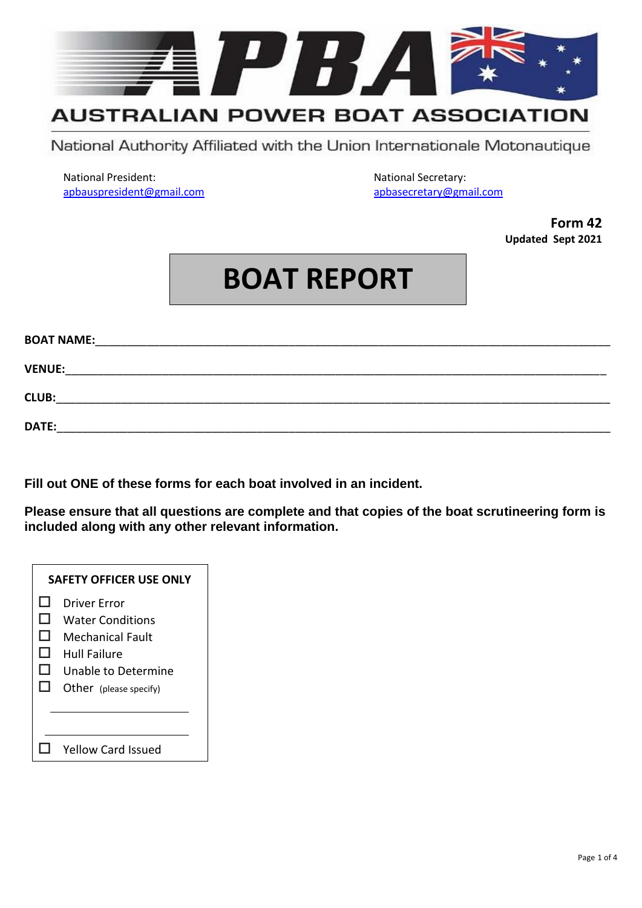

## **AUSTRALIAN POWER BOAT ASSOCIATION**

National Authority Affiliated with the Union Internationale Motonautique

National President: National Secretary: [apbauspresident@gmail.com](mailto:apbauspresident@gmail.com) [apbasecretary@gmail.com](mailto:apbasecretary@gmail.com)

**Form 42 Updated Sept 2021**

## **BOAT REPORT**

| <b>BOAT NAME:</b> |  |
|-------------------|--|
|                   |  |
| <b>VENUE:</b>     |  |
| <b>CLUB:</b>      |  |
|                   |  |
| DATE:             |  |

**Fill out ONE of these forms for each boat involved in an incident.**

**Please ensure that all questions are complete and that copies of the boat scrutineering form is included along with any other relevant information.**

|                    | <b>SAFETY OFFICER USE ONLY</b>                                                                                               |
|--------------------|------------------------------------------------------------------------------------------------------------------------------|
| H<br>H<br>H<br>. . | Driver Frror<br><b>Water Conditions</b><br>Mechanical Fault<br>Hull Failure<br>Unable to Determine<br>Other (please specify) |
|                    |                                                                                                                              |
|                    | <b>Yellow Card Issued</b>                                                                                                    |
|                    |                                                                                                                              |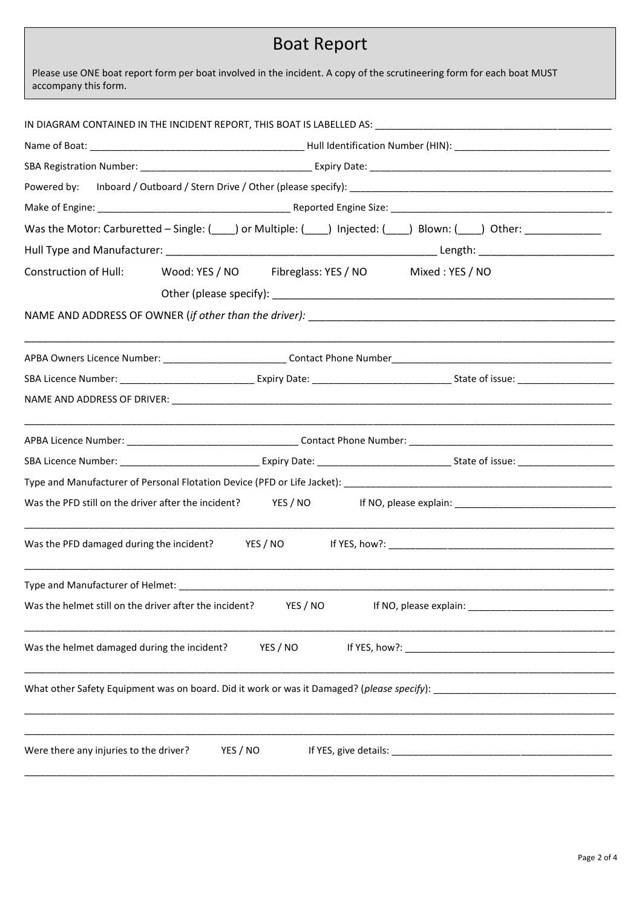## Boat Report

 $\alpha$  accompany this form. The report:  $\alpha$  and  $\alpha$  and  $\alpha$  and  $\alpha$  and  $\alpha$  and  $\alpha$  and  $\alpha$  and  $\alpha$  and  $\alpha$  and  $\alpha$  and  $\alpha$  and  $\alpha$  and  $\alpha$  and  $\alpha$  and  $\alpha$  and  $\alpha$  and  $\alpha$  and  $\alpha$  and  $\alpha$  and  $\alpha$  and  $\alpha$ Please use ONE boat report form per boat involved in the incident. A copy of the scrutineering form for each boat MUST

|                                                        | Was the Motor: Carburetted - Single: (____) or Multiple: (___) Injected: (___) Blown: (___) Other: ___________ |  |  |
|--------------------------------------------------------|----------------------------------------------------------------------------------------------------------------|--|--|
|                                                        |                                                                                                                |  |  |
|                                                        | Construction of Hull: Wood: YES / NO Fibreglass: YES / NO Mixed: YES / NO                                      |  |  |
|                                                        |                                                                                                                |  |  |
|                                                        |                                                                                                                |  |  |
|                                                        |                                                                                                                |  |  |
|                                                        |                                                                                                                |  |  |
|                                                        |                                                                                                                |  |  |
|                                                        |                                                                                                                |  |  |
|                                                        |                                                                                                                |  |  |
|                                                        |                                                                                                                |  |  |
|                                                        |                                                                                                                |  |  |
| Was the PFD still on the driver after the incident?    | YES / NO                                                                                                       |  |  |
|                                                        |                                                                                                                |  |  |
|                                                        |                                                                                                                |  |  |
| Was the helmet still on the driver after the incident? | YES / NO<br>If NO, please explain:                                                                             |  |  |
|                                                        |                                                                                                                |  |  |
| Was the helmet damaged during the incident?            | YES / NO                                                                                                       |  |  |
|                                                        |                                                                                                                |  |  |
|                                                        |                                                                                                                |  |  |
|                                                        |                                                                                                                |  |  |
| Were there any injuries to the driver?                 | YES / NO                                                                                                       |  |  |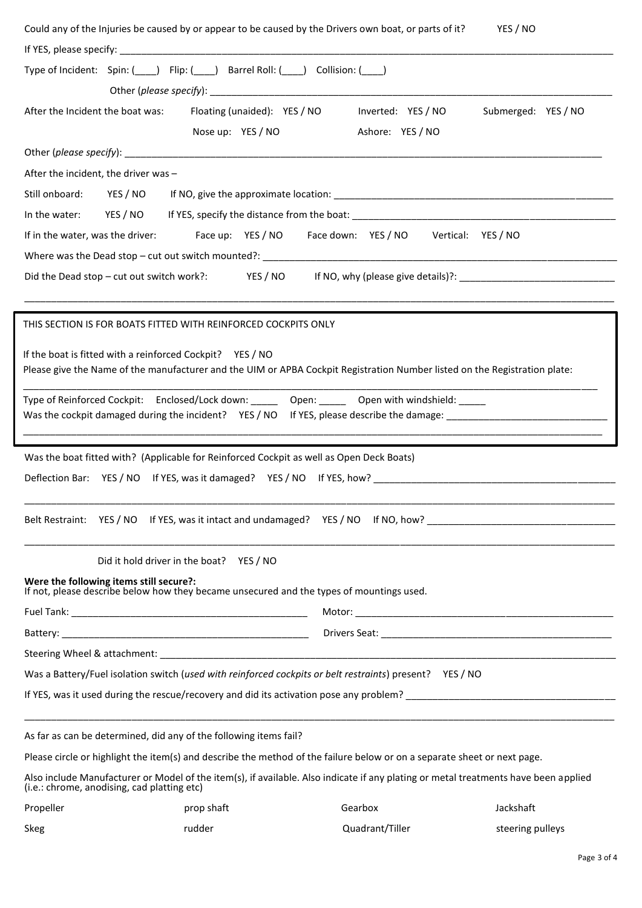| Type of Incident: Spin: (____) Flip: (____) Barrel Roll: (___) Collision: (___)                                                                                                    |
|------------------------------------------------------------------------------------------------------------------------------------------------------------------------------------|
|                                                                                                                                                                                    |
| After the Incident the boat was: Floating (unaided): YES / NO<br>Submerged: YES / NO<br>Inverted: YES / NO                                                                         |
| Nose up: YES / NO<br>Ashore: YES / NO                                                                                                                                              |
|                                                                                                                                                                                    |
| After the incident, the driver was -                                                                                                                                               |
| Still onboard:<br>YES / NO                                                                                                                                                         |
| In the water:                                                                                                                                                                      |
| Face up: YES / NO   Face down: YES / NO   Vertical: YES / NO<br>If in the water, was the driver:                                                                                   |
|                                                                                                                                                                                    |
| Did the Dead stop – cut out switch work?: YES / NO If NO, why (please give details)?: ________________________                                                                     |
|                                                                                                                                                                                    |
|                                                                                                                                                                                    |
| THIS SECTION IS FOR BOATS FITTED WITH REINFORCED COCKPITS ONLY                                                                                                                     |
| If the boat is fitted with a reinforced Cockpit? YES / NO                                                                                                                          |
| Please give the Name of the manufacturer and the UIM or APBA Cockpit Registration Number listed on the Registration plate:                                                         |
| Type of Reinforced Cockpit: Enclosed/Lock down: ______ Open: _____ Open with windshield: _____                                                                                     |
|                                                                                                                                                                                    |
|                                                                                                                                                                                    |
| Was the boat fitted with? (Applicable for Reinforced Cockpit as well as Open Deck Boats)                                                                                           |
| Deflection Bar: YES / NO If YES, was it damaged? YES / NO If YES, how?                                                                                                             |
|                                                                                                                                                                                    |
|                                                                                                                                                                                    |
|                                                                                                                                                                                    |
|                                                                                                                                                                                    |
| Did it hold driver in the boat? YES / NO                                                                                                                                           |
| Were the following items still secure?:                                                                                                                                            |
| If not, please describe below how they became unsecured and the types of mountings used.                                                                                           |
|                                                                                                                                                                                    |
|                                                                                                                                                                                    |
|                                                                                                                                                                                    |
| Was a Battery/Fuel isolation switch (used with reinforced cockpits or belt restraints) present? YES / NO                                                                           |
| If YES, was it used during the rescue/recovery and did its activation pose any problem?                                                                                            |
|                                                                                                                                                                                    |
| As far as can be determined, did any of the following items fail?                                                                                                                  |
| Please circle or highlight the item(s) and describe the method of the failure below or on a separate sheet or next page.                                                           |
| Also include Manufacturer or Model of the item(s), if available. Also indicate if any plating or metal treatments have been applied<br>(i.e.: chrome, anodising, cad platting etc) |

| Skeg | rudder | Quadrant/Tiller | steering pulleys |
|------|--------|-----------------|------------------|